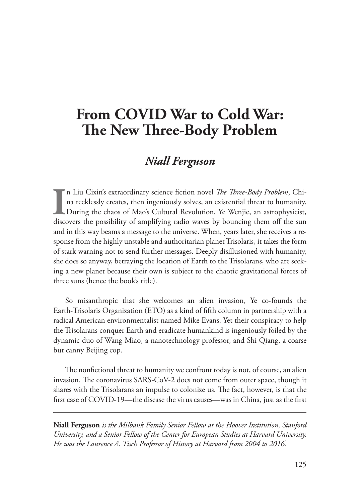## **From COVID War to Cold War: The New Three-Body Problem**

## *Niall Ferguson*

**I** n Liu Cixin's extraordinary science fiction novel *The Three-Body Problem*, China recklessly creates, then ingeniously solves, an existential threat to humanity. During the chaos of Mao's Cultural Revolution, Ye Wenjie, an astrophysicist, discovers the possibility of amplifying radio waves by bouncing them off the sun and in this way beams a message to the universe. When, years later, she receives a response from the highly unstable and authoritarian planet Trisolaris, it takes the form of stark warning not to send further messages. Deeply disillusioned with humanity, she does so anyway, betraying the location of Earth to the Trisolarans, who are seeking a new planet because their own is subject to the chaotic gravitational forces of three suns (hence the book's title).

So misanthropic that she welcomes an alien invasion, Ye co-founds the Earth-Trisolaris Organization (ETO) as a kind of fifth column in partnership with a radical American environmentalist named Mike Evans. Yet their conspiracy to help the Trisolarans conquer Earth and eradicate humankind is ingeniously foiled by the dynamic duo of Wang Miao, a nanotechnology professor, and Shi Qiang, a coarse but canny Beijing cop.

The nonfictional threat to humanity we confront today is not, of course, an alien invasion. The coronavirus SARS-CoV-2 does not come from outer space, though it shares with the Trisolarans an impulse to colonize us. The fact, however, is that the first case of COVID-19—the disease the virus causes—was in China, just as the first

**Niall Ferguson** *is the Milbank Family Senior Fellow at the Hoover Institution, Stanford University, and a Senior Fellow of the Center for European Studies at Harvard University. He was the Laurence A. Tisch Professor of History at Harvard from 2004 to 2016.*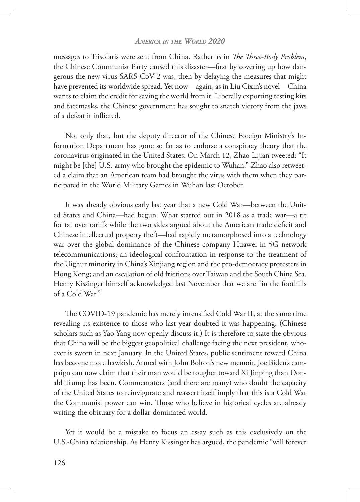## *America in the World 2020*

messages to Trisolaris were sent from China. Rather as in *The Three-Body Problem*, the Chinese Communist Party caused this disaster—first by covering up how dangerous the new virus SARS-CoV-2 was, then by delaying the measures that might have prevented its worldwide spread. Yet now—again, as in Liu Cixin's novel—China wants to claim the credit for saving the world from it. Liberally exporting testing kits and facemasks, the Chinese government has sought to snatch victory from the jaws of a defeat it inflicted.

Not only that, but the deputy director of the Chinese Foreign Ministry's Information Department has gone so far as to endorse a conspiracy theory that the coronavirus originated in the United States. On March 12, Zhao Lijian tweeted: "It might be [the] U.S. army who brought the epidemic to Wuhan." Zhao also retweeted a claim that an American team had brought the virus with them when they participated in the World Military Games in Wuhan last October.

It was already obvious early last year that a new Cold War—between the United States and China—had begun. What started out in 2018 as a trade war—a tit for tat over tariffs while the two sides argued about the American trade deficit and Chinese intellectual property theft—had rapidly metamorphosed into a technology war over the global dominance of the Chinese company Huawei in 5G network telecommunications; an ideological confrontation in response to the treatment of the Uighur minority in China's Xinjiang region and the pro-democracy protesters in Hong Kong; and an escalation of old frictions over Taiwan and the South China Sea. Henry Kissinger himself acknowledged last November that we are "in the foothills of a Cold War."

The COVID-19 pandemic has merely intensified Cold War II, at the same time revealing its existence to those who last year doubted it was happening. (Chinese scholars such as Yao Yang now openly discuss it.) It is therefore to state the obvious that China will be the biggest geopolitical challenge facing the next president, whoever is sworn in next January. In the United States, public sentiment toward China has become more hawkish. Armed with John Bolton's new memoir, Joe Biden's campaign can now claim that their man would be tougher toward Xi Jinping than Donald Trump has been. Commentators (and there are many) who doubt the capacity of the United States to reinvigorate and reassert itself imply that this is a Cold War the Communist power can win. Those who believe in historical cycles are already writing the obituary for a dollar-dominated world.

Yet it would be a mistake to focus an essay such as this exclusively on the U.S.-China relationship. As Henry Kissinger has argued, the pandemic "will forever